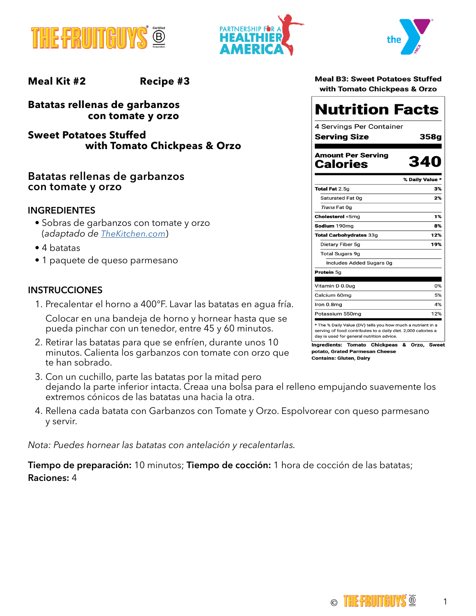





**Meal Kit #2 Recipe #3**

**Batatas rellenas de garbanzos con tomate y orzo**

**Sweet Potatoes Stuffed with Tomato Chickpeas & Orzo**

# **Batatas rellenas de garbanzos con tomate y orzo**

#### **INGREDIENTES**

- Sobras de garbanzos con tomate y orzo (*adaptado de [TheKitchen.com](https://www.thekitchn.com/easy-pasta-and-beans-257210)*)
- 4 batatas
- 1 paquete de queso parmesano

#### **INSTRUCCIONES**

1. Precalentar el horno a 400°F. Lavar las batatas en agua fría.

Colocar en una bandeja de horno y hornear hasta que se pueda pinchar con un tenedor, entre 45 y 60 minutos.

- 2. Retirar las batatas para que se enfríen, durante unos 10 minutos. Calienta los garbanzos con tomate con orzo que te han sobrado.
- 3. Con un cuchillo, parte las batatas por la mitad pero dejando la parte inferior intacta. Creaa una bolsa para el relleno empujando suavemente los extremos cónicos de las batatas una hacia la otra.
- 4. Rellena cada batata con Garbanzos con Tomate y Orzo. Espolvorear con queso parmesano y servir.

*Nota: Puedes hornear las batatas con antelación y recalentarlas.*

**Tiempo de preparación:** 10 minutos; **Tiempo de cocción:** 1 hora de cocción de las batatas; **Raciones:** 4

| <b>Meal B3: Sweet Potatoes Stuffed</b> |
|----------------------------------------|
| with Tomato Chickpeas & Orzo           |

| <b>Nutrition Facts</b>                                                                                                                                                    |                 |  |
|---------------------------------------------------------------------------------------------------------------------------------------------------------------------------|-----------------|--|
| 4 Servings Per Container<br>Serving Size                                                                                                                                  | 358g            |  |
| <b>Amount Per Serving</b><br>Calories                                                                                                                                     | 340             |  |
|                                                                                                                                                                           | % Daily Value * |  |
| Total Fat 2.5g                                                                                                                                                            | 3%              |  |
| Saturated Fat 0g                                                                                                                                                          | 2%              |  |
| <i>Trans</i> Fat Og                                                                                                                                                       |                 |  |
| Cholesterol <5mg                                                                                                                                                          | 1%              |  |
| Sodium 190mg                                                                                                                                                              | 8%              |  |
| Total Carbohydrates 33g                                                                                                                                                   | 12%             |  |
| Dietary Fiber 5g                                                                                                                                                          | 19%             |  |
| <b>Total Sugars 9g</b>                                                                                                                                                    |                 |  |
| Includes Added Sugars 0g                                                                                                                                                  |                 |  |
| Protein 5g                                                                                                                                                                |                 |  |
| Vitamin D 0.0ug                                                                                                                                                           | 0%              |  |
| Calcium 60mg                                                                                                                                                              | 5%              |  |
| Iron 0.8mg                                                                                                                                                                | 4%              |  |
| Potassium 550mg                                                                                                                                                           | 12%             |  |
| * The % Daily Value (DV) tells you how much a nutrient in a<br>serving of food contributes to a daily diet. 2,000 calories a<br>day is used for general nutrition advice. |                 |  |

Ingredients: Tomato Chickpeas & Orzo, Sweet potato, Grated Parmesan Cheese

**Contains: Gluten, Dairy**